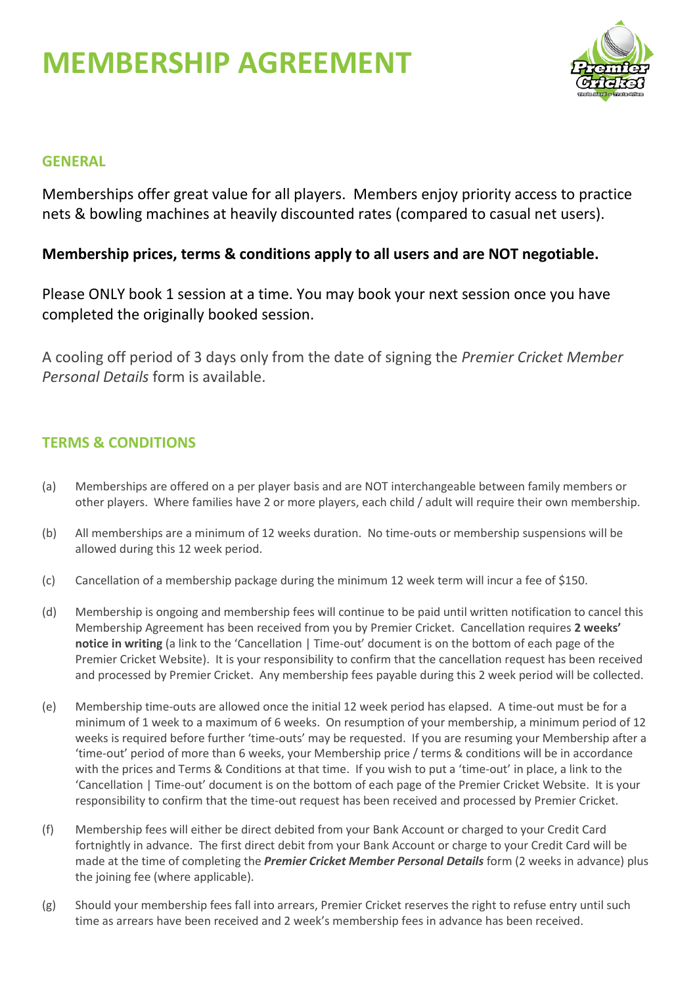# **MEMBERSHIP AGREEMENT**



## **GENERAL**

Memberships offer great value for all players. Members enjoy priority access to practice nets & bowling machines at heavily discounted rates (compared to casual net users).

## **Membership prices, terms & conditions apply to all users and are NOT negotiable.**

Please ONLY book 1 session at a time. You may book your next session once you have completed the originally booked session.

A cooling off period of 3 days only from the date of signing the *Premier Cricket Member Personal Details* form is available.

## **TERMS & CONDITIONS**

- (a) Memberships are offered on a per player basis and are NOT interchangeable between family members or other players. Where families have 2 or more players, each child / adult will require their own membership.
- (b) All memberships are a minimum of 12 weeks duration. No time-outs or membership suspensions will be allowed during this 12 week period.
- (c) Cancellation of a membership package during the minimum 12 week term will incur a fee of \$150.
- (d) Membership is ongoing and membership fees will continue to be paid until written notification to cancel this Membership Agreement has been received from you by Premier Cricket. Cancellation requires **2 weeks' notice in writing** (a link to the 'Cancellation | Time-out' document is on the bottom of each page of the Premier Cricket Website). It is your responsibility to confirm that the cancellation request has been received and processed by Premier Cricket. Any membership fees payable during this 2 week period will be collected.
- (e) Membership time-outs are allowed once the initial 12 week period has elapsed. A time-out must be for a minimum of 1 week to a maximum of 6 weeks. On resumption of your membership, a minimum period of 12 weeks is required before further 'time-outs' may be requested. If you are resuming your Membership after a 'time-out' period of more than 6 weeks, your Membership price / terms & conditions will be in accordance with the prices and Terms & Conditions at that time. If you wish to put a 'time-out' in place, a link to the 'Cancellation | Time-out' document is on the bottom of each page of the Premier Cricket Website. It is your responsibility to confirm that the time-out request has been received and processed by Premier Cricket.
- (f) Membership fees will either be direct debited from your Bank Account or charged to your Credit Card fortnightly in advance. The first direct debit from your Bank Account or charge to your Credit Card will be made at the time of completing the *Premier Cricket Member Personal Details* form (2 weeks in advance) plus the joining fee (where applicable).
- (g) Should your membership fees fall into arrears, Premier Cricket reserves the right to refuse entry until such time as arrears have been received and 2 week's membership fees in advance has been received.